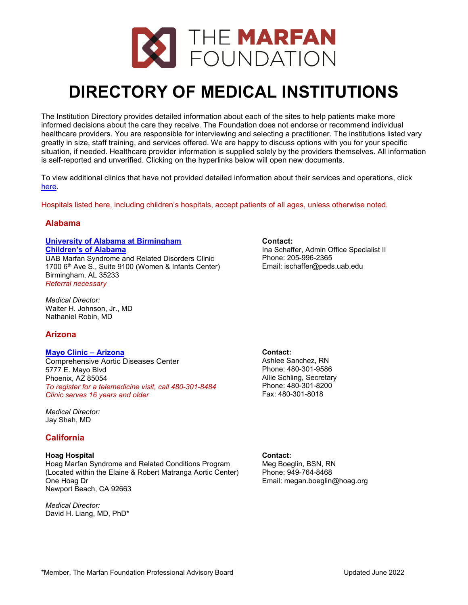

# **DIRECTORY OF MEDICAL INSTITUTIONS**

The Institution Directory provides detailed information about each of the sites to help patients make more informed decisions about the care they receive. The Foundation does not endorse or recommend individual healthcare providers. You are responsible for interviewing and selecting a practitioner. The institutions listed vary greatly in size, staff training, and services offered. We are happy to discuss options with you for your specific situation, if needed. Healthcare provider information is supplied solely by the providers themselves. All information is self-reported and unverified. Clicking on the hyperlinks below will open new documents.

To view additional clinics that have not provided detailed information about their services and operations, click [here.](https://marfan.org/wp-content/uploads/2021/07/MARFAN-DIRECTORY-OF-ADDITIONAL-MEDICAL-INSTITUTIONS-2022-06-15-LM.pdf)

Hospitals listed here, including children's hospitals, accept patients of all ages, unless otherwise noted.

# **Alabama**

# **[University of Alabama at Birmingham](https://marfan.org/wp-content/uploads/2021/09/University-of-Alabama-at-Birmingham-2021.pdf) [Children's of Alabama](https://marfan.org/wp-content/uploads/2021/09/University-of-Alabama-at-Birmingham-2021.pdf)**

UAB Marfan Syndrome and Related Disorders Clinic 1700 6<sup>th</sup> Ave S., Suite 9100 (Women & Infants Center) Birmingham, AL 35233 *Referral necessary*

*Medical Director:* Walter H. Johnson, Jr., MD Nathaniel Robin, MD

# **Arizona**

# **[Mayo Clinic –](https://marfan.org/wp-content/uploads/2021/09/Mayo-Clinic-Arizona-2021.pdf) Arizona**

Comprehensive Aortic Diseases Center 5777 E. Mayo Blvd Phoenix, AZ 85054 *To register for a telemedicine visit, call 480-301-8484 Clinic serves 16 years and older*

*Medical Director:* Jay Shah, MD

# **California**

# **Hoag Hospital**

Hoag Marfan Syndrome and Related Conditions Program (Located within the Elaine & Robert Matranga Aortic Center) One Hoag Dr Newport Beach, CA 92663

*Medical Director:* David H. Liang, MD, PhD\* **Contact:**

Ina Schaffer, Admin Office Specialist II Phone: 205-996-2365 Email: ischaffer@peds.uab.edu

**Contact:** Ashlee Sanchez, RN Phone: 480-301-9586 Allie Schling, Secretary Phone: 480-301-8200 Fax: 480-301-8018

**Contact:** Meg Boeglin, BSN, RN Phone: 949-764-8468 Email: megan.boeglin@hoag.org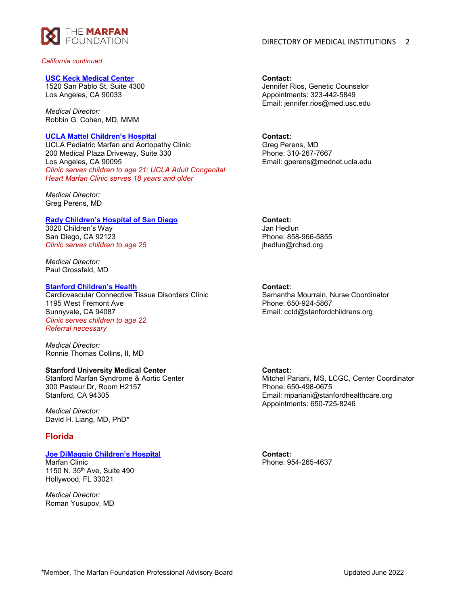

*California continued*

#### **[USC Keck Medical Center](https://marfan.org/wp-content/uploads/2021/09/USC-Keck-Medical-Center-2021.pdf)**

1520 San Pablo St, Suite 4300 Los Angeles, CA 90033

*Medical Director:* Robbin G. Cohen, MD, MMM

#### **[UCLA Mattel Children's Hospital](https://marfan.org/wp-content/uploads/2021/09/UCLA-Mattel-Childrens-Hospital-2021.pdf)**

UCLA Pediatric Marfan and Aortopathy Clinic 200 Medical Plaza Driveway, Suite 330 Los Angeles, CA 90095 *Clinic serves children to age 21; UCLA Adult Congenital Heart Marfan Clinic serves 18 years and older*

*Medical Director:*  Greg Perens, MD

#### **[Rady Children's Hospital of San Diego](https://marfan.org/wp-content/uploads/2021/07/Rady-Childrens-Hospital-of-San-Diego-2022.pdf)**

3020 Children's Way San Diego, CA 92123 *Clinic serves children to age 25*

*Medical Director:*  Paul Grossfeld, MD

# **[Stanford Children's Health](https://marfan.org/wp-content/uploads/2021/07/Stanford-Childrens-Hospital-2022.pdf)**

Cardiovascular Connective Tissue Disorders Clinic 1195 West Fremont Ave Sunnyvale, CA 94087 *Clinic serves children to age 22 Referral necessary*

*Medical Director:* Ronnie Thomas Collins, II, MD

# **Stanford University Medical Center**

Stanford Marfan Syndrome & Aortic Center 300 Pasteur Dr, Room H2157 Stanford, CA 94305

*Medical Director:*  David H. Liang, MD, PhD\*

# **Florida**

# **[Joe DiMaggio Children's Hospital](https://marfan.org/wp-content/uploads/2021/09/Joe-DiMaggio-Childrens-Hospital-2021.pdf)**

Marfan Clinic 1150 N. 35th Ave, Suite 490 Hollywood, FL 33021

*Medical Director:*  Roman Yusupov, MD **Contact:** Jennifer Rios, Genetic Counselor Appointments: 323-442-5849 Email: jennifer.rios@med.usc.edu

**Contact:** Greg Perens, MD Phone: 310-267-7667 Email: gperens@mednet.ucla.edu

**Contact:** Jan Hedlun Phone: 858-966-5855 jhedlun@rchsd.org

### **Contact:**

Samantha Mourrain, Nurse Coordinator Phone: 650-924-5867 Email: cctd@stanfordchildrens.org

# **Contact:**

Mitchel Pariani, MS, LCGC, Center Coordinator Phone: 650-498-0675 Email: mpariani@stanfordhealthcare.org Appointments: 650-725-8246

**Contact:** Phone: 954-265-4637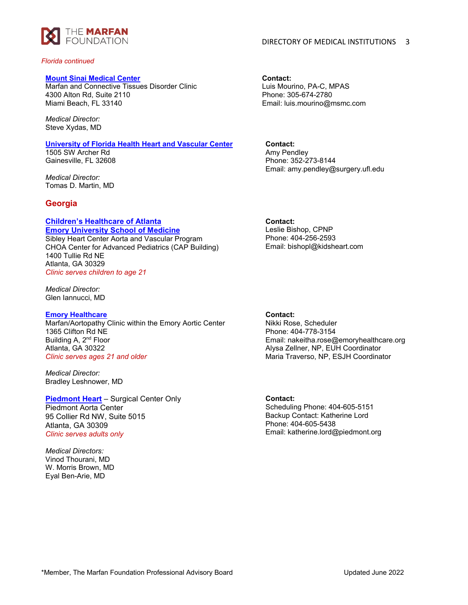

#### *Florida continued*

#### **[Mount Sinai Medical Center](https://marfan.org/wp-content/uploads/2021/09/Mount-Sinai-Medical-Center-2021.pdf)**

Marfan and Connective Tissues Disorder Clinic 4300 Alton Rd, Suite 2110 Miami Beach, FL 33140

*Medical Director:* Steve Xydas, MD

#### **[University of Florida Health Heart and Vascular Center](https://marfan.org/wp-content/uploads/2021/09/University-of-Florida-College-of-Medicine-2022.pdf)**

1505 SW Archer Rd Gainesville, FL 32608

*Medical Director:* Tomas D. Martin, MD

# **Georgia**

#### **[Children's Healthcare of Atlanta](https://marfan.org/wp-content/uploads/2021/09/Childrens-Healthcare-of-Atlanta-2021.pdf) [Emory University School of Medicine](https://marfan.org/wp-content/uploads/2021/09/Childrens-Healthcare-of-Atlanta-2021.pdf)**

Sibley Heart Center Aorta and Vascular Program CHOA Center for Advanced Pediatrics (CAP Building) 1400 Tullie Rd NE Atlanta, GA 30329 *Clinic serves children to age 21*

*Medical Director:* Glen Iannucci, MD

#### **[Emory Healthcare](https://marfan.org/wp-content/uploads/2021/07/Emory-Healthcare-2022.pdf)**

Marfan/Aortopathy Clinic within the Emory Aortic Center 1365 Clifton Rd NE Building A, 2<sup>nd</sup> Floor Atlanta, GA 30322 *Clinic serves ages 21 and older*

*Medical Director:* Bradley Leshnower, MD

**[Piedmont Heart](https://marfan.org/wp-content/uploads/2021/09/Piedmont-Heart-2021.pdf)** – Surgical Center Only Piedmont Aorta Center 95 Collier Rd NW, Suite 5015 Atlanta, GA 30309 *Clinic serves adults only*

*Medical Directors:*  Vinod Thourani, MD W. Morris Brown, MD Eyal Ben-Arie, MD

# DIRECTORY OF MEDICAL INSTITUTIONS 3

**Contact:** Luis Mourino, PA-C, MPAS Phone: 305-674-2780 Email: luis.mourino@msmc.com

**Contact:** Amy Pendley Phone: 352-273-8144 Email: amy.pendley@surgery.ufl.edu

# **Contact:**

Leslie Bishop, CPNP Phone: 404-256-2593 Email: bishopl@kidsheart.com

**Contact:**

Nikki Rose, Scheduler Phone: 404-778-3154 Email: nakeitha.rose@emoryhealthcare.org Alysa Zellner, NP, EUH Coordinator Maria Traverso, NP, ESJH Coordinator

**Contact:** Scheduling Phone: 404-605-5151 Backup Contact: Katherine Lord Phone: 404-605-5438 Email: katherine.lord@piedmont.org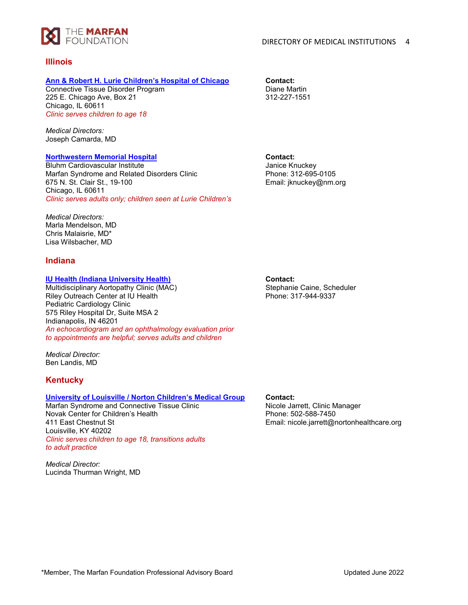

# **Illinois**

# **[Ann & Robert H. Lurie Children's Hospital of Chicago](https://marfan.org/wp-content/uploads/2021/09/Lurie-Childrens-Hospital-of-Chicago-2021.pdf)**

Connective Tissue Disorder Program 225 E. Chicago Ave, Box 21 Chicago, IL 60611 *Clinic serves children to age 18*

*Medical Directors:* Joseph Camarda, MD

# **[Northwestern Memorial Hospital](https://marfan.org/wp-content/uploads/2021/09/Bluhm-at-Northwestern-Memorial-2021.pdf)**

Bluhm Cardiovascular Institute Marfan Syndrome and Related Disorders Clinic 675 N. St. Clair St., 19-100 Chicago, IL 60611 *Clinic serves adults only; children seen at Lurie Children's* **Contact:** Diane Martin 312-227-1551

**Contact:** Janice Knuckey Phone: 312-695-0105 Email: jknuckey@nm.org

*Medical Directors:* Marla Mendelson, MD Chris Malaisrie, MD\* Lisa Wilsbacher, MD

# **Indiana**

# **[IU Health \(Indiana University Health\)](https://marfan.org/wp-content/uploads/2021/09/IU-Health-Indiana-University-Health-2021.pdf)**

Multidisciplinary Aortopathy Clinic (MAC) Riley Outreach Center at IU Health Pediatric Cardiology Clinic 575 Riley Hospital Dr, Suite MSA 2 Indianapolis, IN 46201 *An echocardiogram and an ophthalmology evaluation prior to appointments are helpful; serves adults and children*

*Medical Director:* Ben Landis, MD

# **Kentucky**

# **University of Louisville [/ Norton Children's Medical Group](https://marfan.org/wp-content/uploads/2021/07/University-of-Louisville-Norton-Childrens-Medical-Group-2022.pdf)**

Marfan Syndrome and Connective Tissue Clinic Novak Center for Children's Health 411 East Chestnut St Louisville, KY 40202 *Clinic serves children to age 18, transitions adults to adult practice*

*Medical Director:* Lucinda Thurman Wright, MD **Contact:** Stephanie Caine, Scheduler Phone: 317-944-9337

# **Contact:**

Nicole Jarrett, Clinic Manager Phone: 502-588-7450 Email: nicole.jarrett@nortonhealthcare.org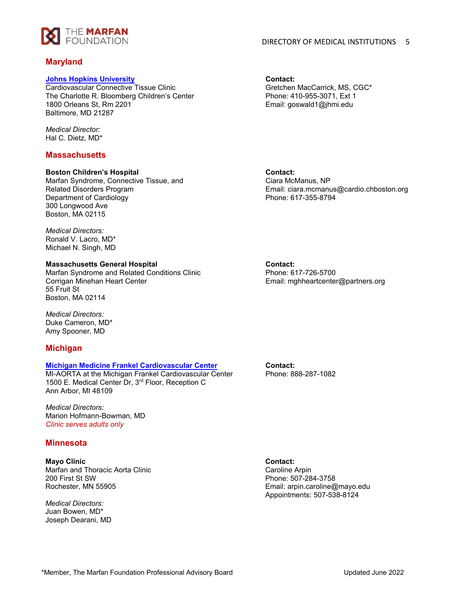

# **Maryland**

#### **[Johns Hopkins University](https://marfan.org/wp-content/uploads/2021/09/Johns-Hopkins-University-2021.pdf)**

Cardiovascular Connective Tissue Clinic The Charlotte R. Bloomberg Children's Center 1800 Orleans St, Rm 2201 Baltimore, MD 21287

*Medical Director:* Hal C. Dietz, MD\*

# **Massachusetts**

# **Boston Children's Hospital**

Marfan Syndrome, Connective Tissue, and Related Disorders Program Department of Cardiology 300 Longwood Ave Boston, MA 02115

*Medical Directors:* Ronald V. Lacro, MD\* Michael N. Singh, MD

### **Massachusetts General Hospital**

Marfan Syndrome and Related Conditions Clinic Corrigan Minehan Heart Center 55 Fruit St Boston, MA 02114

*Medical Directors:* Duke Cameron, MD\* Amy Spooner, MD

# **Michigan**

# **[Michigan Medicine Frankel Cardiovascular Center](https://marfan.org/wp-content/uploads/2021/07/Michigan-Medicine-Frankel-Cardiovascular-Center-2022.pdf)**

MI-AORTA at the Michigan Frankel Cardiovascular Center 1500 E. Medical Center Dr, 3rd Floor, Reception C Ann Arbor, MI 48109

*Medical Directors:* Marion Hofmann-Bowman, MD *Clinic serves adults only*

# **Minnesota**

**Mayo Clinic** Marfan and Thoracic Aorta Clinic 200 First St SW Rochester, MN 55905

*Medical Directors:* Juan Bowen, MD\* Joseph Dearani, MD **Contact:** Gretchen MacCarrick, MS, CGC\* Phone: 410-955-3071, Ext 1 Email: goswald1@jhmi.edu

**Contact:** Ciara McManus, NP Email: ciara.mcmanus@cardio.chboston.org Phone: 617-355-8794

**Contact:** Phone: 617-726-5700 Email: mghheartcenter@partners.org

**Contact:** Phone: 888-287-1082

**Contact:** Caroline Arpin Phone: 507-284-3758 Email: arpin.caroline@mayo.edu Appointments: 507-538-8124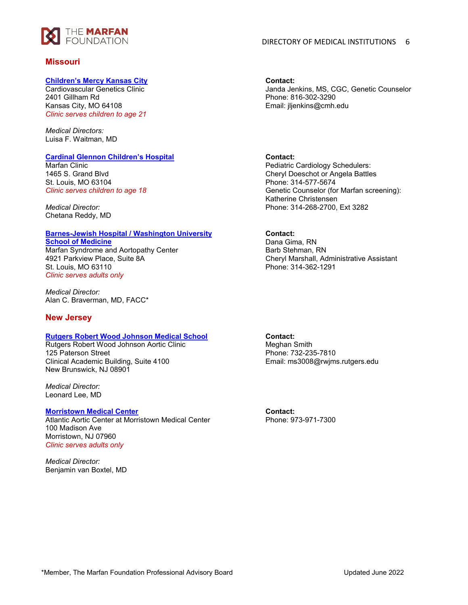

# **Missouri**

### **[Children's Mercy Kansas City](https://marfan.org/wp-content/uploads/2021/07/Childrens-Mercy-Kansas-City-2022.pdf)**

Cardiovascular Genetics Clinic 2401 Gillham Rd Kansas City, MO 64108 *Clinic serves children to age 21*

*Medical Directors:*  Luisa F. Waitman, MD

# **[Cardinal Glennon Children's Hospital](https://marfan.org/wp-content/uploads/2021/09/Cardinal-Glennon-Childrens-Hospital-2021.pdf)**

Marfan Clinic 1465 S. Grand Blvd St. Louis, MO 63104 *Clinic serves children to age 18*

*Medical Director:* Chetana Reddy, MD

# **[Barnes-Jewish Hospital / Washington University](https://marfan.org/wp-content/uploads/2021/09/Barnes-Jewish-Hospital-2021.pdf)**

**[School of Medicine](https://marfan.org/wp-content/uploads/2021/09/Barnes-Jewish-Hospital-2021.pdf)** Marfan Syndrome and Aortopathy Center 4921 Parkview Place, Suite 8A St. Louis, MO 63110 *Clinic serves adults only*

*Medical Director:* Alan C. Braverman, MD, FACC\*

# **New Jersey**

# **[Rutgers Robert Wood Johnson Medical School](https://marfan.org/wp-content/uploads/2021/09/Rutgers-Robert-Wood-Johnson-Medical-School-2022.pdf)**

Rutgers Robert Wood Johnson Aortic Clinic 125 Paterson Street Clinical Academic Building, Suite 4100 New Brunswick, NJ 08901

*Medical Director:* Leonard Lee, MD

#### **[Morristown Medical Center](https://marfan.org/wp-content/uploads/2021/09/Morristown-Medical-Center-2021.pdf)**

Atlantic Aortic Center at Morristown Medical Center 100 Madison Ave Morristown, NJ 07960 *Clinic serves adults only*

*Medical Director:* Benjamin van Boxtel, MD **Contact:** Janda Jenkins, MS, CGC, Genetic Counselor Phone: 816-302-3290 Email: jljenkins@cmh.edu

# **Contact:**

Pediatric Cardiology Schedulers: Cheryl Doeschot or Angela Battles Phone: 314-577-5674 Genetic Counselor (for Marfan screening): Katherine Christensen Phone: 314-268-2700, Ext 3282

# **Contact:**

Dana Gima, RN Barb Stehman, RN Cheryl Marshall, Administrative Assistant Phone: 314-362-1291

**Contact:** Meghan Smith Phone: 732-235-7810 Email: ms3008@rwjms.rutgers.edu

**Contact:** Phone: 973-971-7300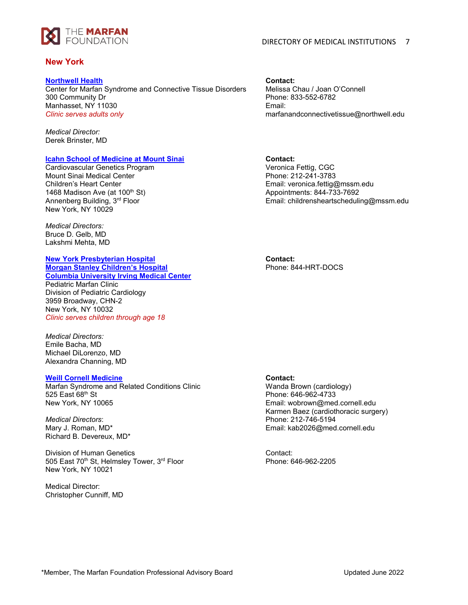

# **New York**

### **[Northwell Health](https://marfan.org/wp-content/uploads/2021/09/Northwell-Health-2021.pdf)**

Center for Marfan Syndrome and Connective Tissue Disorders 300 Community Dr Manhasset, NY 11030 *Clinic serves adults only*

*Medical Director:* Derek Brinster, MD

### **[Icahn School of Medicine at Mount Sinai](https://marfan.org/wp-content/uploads/2021/09/Icahn-School-of-Medicine-at-Mount-Sinai-2021.pdf)**

Cardiovascular Genetics Program Mount Sinai Medical Center Children's Heart Center 1468 Madison Ave (at 100<sup>th</sup> St) Annenberg Building, 3rd Floor New York, NY 10029

*Medical Directors:* Bruce D. Gelb, MD Lakshmi Mehta, MD

#### **[New York Presbyterian Hospital](https://marfan.org/wp-content/uploads/2021/09/NYP-Morgan-Stanley-Childrens-Hospital-2021.pdf)  [Morgan Stanley Children's Hospital](https://marfan.org/wp-content/uploads/2021/09/NYP-Morgan-Stanley-Childrens-Hospital-2021.pdf)**

**[Columbia University Irving Medical Center](https://marfan.org/wp-content/uploads/2021/09/NYP-Morgan-Stanley-Childrens-Hospital-2021.pdf)** Pediatric Marfan Clinic Division of Pediatric Cardiology 3959 Broadway, CHN-2 New York, NY 10032 *Clinic serves children through age 18*

*Medical Directors:* Emile Bacha, MD Michael DiLorenzo, MD Alexandra Channing, MD

# **[Weill Cornell Medicine](https://marfan.org/wp-content/uploads/2021/09/Weill-Cornell-Medicine-2021.pdf)**

Marfan Syndrome and Related Conditions Clinic 525 East 68<sup>th</sup> St New York, NY 10065

*Medical Directors*: Mary J. Roman, MD\* Richard B. Devereux, MD\*

Division of Human Genetics 505 East 70<sup>th</sup> St, Helmsley Tower, 3<sup>rd</sup> Floor New York, NY 10021

Medical Director: Christopher Cunniff, MD **Contact:** Melissa Chau / Joan O'Connell Phone: 833-552-6782 Email: marfanandconnectivetissue@northwell.edu

**Contact:**

Veronica Fettig, CGC Phone: 212-241-3783 Email: veronica.fettig@mssm.edu Appointments: 844-733-7692 Email: childrensheartscheduling@mssm.edu

**Contact:** Phone: 844-HRT-DOCS

# **Contact:**

Wanda Brown (cardiology) Phone: 646-962-4733 Email: wobrown@med.cornell.edu Karmen Baez (cardiothoracic surgery) Phone: 212-746-5194 Email: kab2026@med.cornell.edu

Contact: Phone: 646-962-2205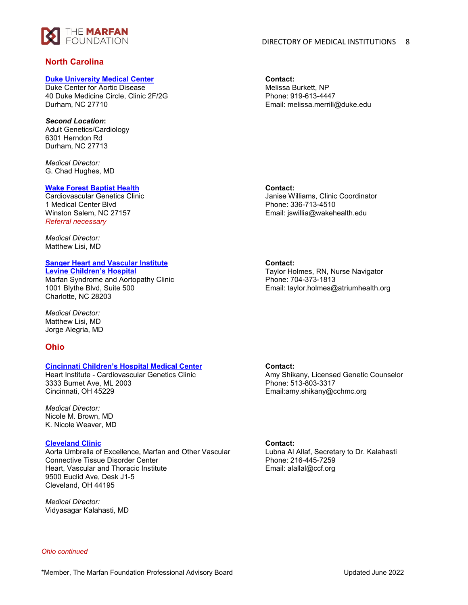

# **North Carolina**

# **[Duke University Medical Center](https://marfan.org/wp-content/uploads/2021/09/Duke-University-2021.pdf)**

Duke Center for Aortic Disease 40 Duke Medicine Circle, Clinic 2F/2G Durham, NC 27710

# *Second Location***:**

Adult Genetics/Cardiology 6301 Herndon Rd Durham, NC 27713

*Medical Director:* G. Chad Hughes, MD

#### **[Wake Forest Baptist Health](https://marfan.org/wp-content/uploads/2021/09/Wake-Forest-Baptist-Health-2021.pdf)**

Cardiovascular Genetics Clinic 1 Medical Center Blvd Winston Salem, NC 27157 *Referral necessary*

*Medical Director:* Matthew Lisi, MD

# **[Sanger Heart and Vascular Institute](https://marfan.org/wp-content/uploads/2021/09/Sanger-Heart-and-Vascular-Institute-2021.pdf)**

**[Levine Children's Hospital](https://marfan.org/wp-content/uploads/2021/09/Sanger-Heart-and-Vascular-Institute-2021.pdf)** Marfan Syndrome and Aortopathy Clinic 1001 Blythe Blvd, Suite 500 Charlotte, NC 28203

*Medical Director:* Matthew Lisi, MD Jorge Alegria, MD

# **Ohio**

# **[Cincinnati Children's Hospital Medical Center](https://marfan.org/wp-content/uploads/2021/07/Cincinnati-Childrens-Hospital-2022.pdf)**

Heart Institute - Cardiovascular Genetics Clinic 3333 Burnet Ave, ML 2003 Cincinnati, OH 45229

*Medical Director:* Nicole M. Brown, MD K. Nicole Weaver, MD

# **[Cleveland Clinic](https://marfan.org/wp-content/uploads/2021/09/Cleveland-Clinic-2021.pdf)**

Aorta Umbrella of Excellence, Marfan and Other Vascular Connective Tissue Disorder Center Heart, Vascular and Thoracic Institute 9500 Euclid Ave, Desk J1-5 Cleveland, OH 44195

*Medical Director:* Vidyasagar Kalahasti, MD **Contact:** Melissa Burkett, NP Phone: 919-613-4447 Email: melissa.merrill@duke.edu

**Contact:** Janise Williams, Clinic Coordinator Phone: 336-713-4510 Email: jswillia@wakehealth.edu

**Contact:**

Taylor Holmes, RN, Nurse Navigator Phone: 704-373-1813 Email: taylor.holmes@atriumhealth.org

# **Contact:**

Amy Shikany, Licensed Genetic Counselor Phone: 513-803-3317 Email:amy.shikany@cchmc.org

#### **Contact:**

Lubna Al Allaf, Secretary to Dr. Kalahasti Phone: 216-445-7259 Email: alallal@ccf.org

*Ohio continued*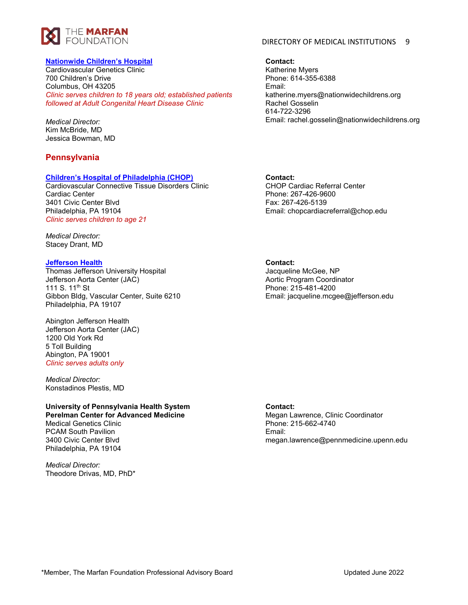

# **[Nationwide Children's Hospital](https://marfan.org/wp-content/uploads/2021/09/Nationwide-Childrens-Hospital-2021.pdf)**

Cardiovascular Genetics Clinic 700 Children's Drive Columbus, OH 43205 *Clinic serves children to 18 years old; established patients followed at Adult Congenital Heart Disease Clinic*

*Medical Director:* Kim McBride, MD Jessica Bowman, MD

# **Pennsylvania**

### **[Children's Hospital of Philadelphia \(CHOP\)](https://marfan.org/wp-content/uploads/2021/09/Childrens-Hospital-of-Philadelphia-2021.pdf)**

Cardiovascular Connective Tissue Disorders Clinic Cardiac Center 3401 Civic Center Blvd Philadelphia, PA 19104 *Clinic serves children to age 21*

*Medical Director:* Stacey Drant, MD

# **[Jefferson Health](https://marfan.org/wp-content/uploads/2021/09/Jefferson-Health-2021.pdf)**

Thomas Jefferson University Hospital Jefferson Aorta Center (JAC) 111 S. 11<sup>th</sup> St Gibbon Bldg, Vascular Center, Suite 6210 Philadelphia, PA 19107

Abington Jefferson Health Jefferson Aorta Center (JAC) 1200 Old York Rd 5 Toll Building Abington, PA 19001 *Clinic serves adults only*

*Medical Director:* Konstadinos Plestis, MD

# **University of Pennsylvania Health System Perelman Center for Advanced Medicine**

Medical Genetics Clinic PCAM South Pavilion 3400 Civic Center Blvd Philadelphia, PA 19104

*Medical Director:* Theodore Drivas, MD, PhD\*

# DIRECTORY OF MEDICAL INSTITUTIONS 9

**Contact:**

Katherine Myers Phone: 614-355-6388 Email: katherine.myers@nationwidechildrens.org Rachel Gosselin 614-722-3296 Email: rachel.gosselin@nationwidechildrens.org

# **Contact:**

CHOP Cardiac Referral Center Phone: 267-426-9600 Fax: 267-426-5139 Email: chopcardiacreferral@chop.edu

# **Contact:**

Jacqueline McGee, NP Aortic Program Coordinator Phone: 215-481-4200 Email: jacqueline.mcgee@jefferson.edu

#### **Contact:**

Megan Lawrence, Clinic Coordinator Phone: 215-662-4740 Email: megan.lawrence@pennmedicine.upenn.edu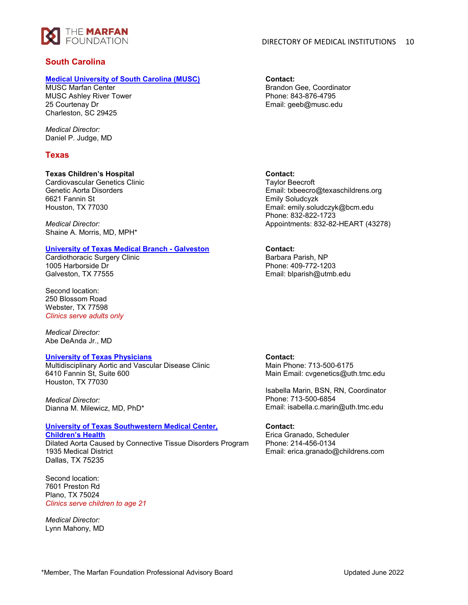

# **South Carolina**

### **[Medical University of South Carolina \(MUSC\)](https://marfan.org/wp-content/uploads/2021/09/Medical-University-of-South-Carolina-2021.pdf)**

MUSC Marfan Center MUSC Ashley River Tower 25 Courtenay Dr Charleston, SC 29425

*Medical Director:* Daniel P. Judge, MD

# **Texas**

# **Texas Children's Hospital**

Cardiovascular Genetics Clinic Genetic Aorta Disorders 6621 Fannin St Houston, TX 77030

*Medical Director:*  Shaine A. Morris, MD, MPH\*

# **[University of Texas Medical Branch -](https://marfan.org/wp-content/uploads/2021/07/UT-Medical-Branch-Galveston-2022.pdf) Galveston**

Cardiothoracic Surgery Clinic 1005 Harborside Dr Galveston, TX 77555

Second location: 250 Blossom Road Webster, TX 77598 *Clinics serve adults only*

*Medical Director:* Abe DeAnda Jr., MD

# **[University of Texas Physicians](https://marfan.org/wp-content/uploads/2021/09/UTHealth-2021.pdf)**

Multidisciplinary Aortic and Vascular Disease Clinic 6410 Fannin St, Suite 600 Houston, TX 77030

*Medical Director:* Dianna M. Milewicz, MD, PhD\*

# **[University of Texas Southwestern Medical Center,](https://marfan.org/wp-content/uploads/2021/09/University-of-Texas-Southwestern-Medical-Center-2021.pdf)**

**[Children's Health](https://marfan.org/wp-content/uploads/2021/09/University-of-Texas-Southwestern-Medical-Center-2021.pdf)** Dilated Aorta Caused by Connective Tissue Disorders Program 1935 Medical District Dallas, TX 75235

Second location: 7601 Preston Rd Plano, TX 75024 *Clinics serve children to age 21*

*Medical Director:* Lynn Mahony, MD **Contact:** Brandon Gee, Coordinator Phone: 843-876-4795 Email: geeb@musc.edu

# **Contact:**

Taylor Beecroft Email: txbeecro@texaschildrens.org Emily Soludcyzk Email: emily.soludczyk@bcm.edu Phone: 832-822-1723 Appointments: 832-82-HEART (43278)

# **Contact:**

Barbara Parish, NP Phone: 409-772-1203 Email: blparish@utmb.edu

# **Contact:**

Main Phone: 713-500-6175 Main Email: cvgenetics@uth.tmc.edu

Isabella Marin, BSN, RN, Coordinator Phone: 713-500-6854 Email: isabella.c.marin@uth.tmc.edu

# **Contact:**

Erica Granado, Scheduler Phone: 214-456-0134 Email: erica.granado@childrens.com